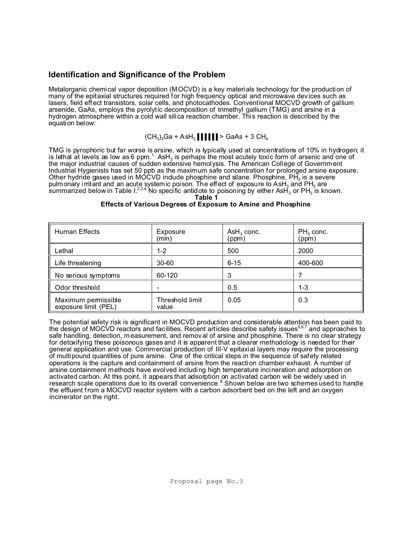# **Identification and Significance of the Problem**

Metalorganic chemical vapor deposition (MOCVD) is a key materials technology for the production of many of the epitaxial structures required for high frequency optical and microwave dev ices such as lasers, field effect transistors, solar cells, and photocathodes. Conventional MOCVD growth of gallium arsenide, GaAs, employs the pyrolytic decomposition of trimethyl gallium (TMG) and arsine in a hydrogen atmosphere within a cold wall silica reaction chamber. This reaction is described by the equation below:

## (CH $_3$ ) $_3$ Ga + AsH $_3$  | | | | | | > GaAs + 3 CH $_4$

TMG is pyrophoric but far worse is arsine, which is typically used at concentrations of 10% in hydrogen; it is lethal at levels as low as 6 ppm. $^{\rm 1}$  AsH $_{\rm 3}$  is perhaps the most acutely toxic form of arsenic and one of the major industrial causes of sudden extensive hemolysis. The American College of Government Industrial Hygienists has set 50 ppb as the maximum safe concentration for prolonged arsine exposure. Other hydride gases used in MOCVD indude phosphine and silane. Phosphine, PH<sub>3</sub> is a severe pulmonary irritant and an acute systemic poison. The effect of exposure to AsH<sub>3</sub> and PH<sub>3</sub> are summarized below in Table I. $^{2,3,4}$  No specific antidote to poisoning by either AsH $_{3}$  or PH $_{3}$  is known.

# **Table 1**

## **Effects of Various Degrees of Exposure to Arsine and Phosphine**

| Human Effects                               | Exposure<br>(min)        | $\mathsf{ASH}_3$ conc.<br>(ppm) | $PH_3$ conc.<br>(ppm) |
|---------------------------------------------|--------------------------|---------------------------------|-----------------------|
| Lethal                                      | $1 - 2$                  | 500                             | 2000                  |
| Life threatening                            | 30-60                    | $6 - 15$                        | 400-600               |
| No serious symptoms                         | 60-120                   | 3                               |                       |
| Odor threshold                              |                          | 0.5                             | 1-3                   |
| Maximum permissible<br>exposure limit (PEL) | Threshold limit<br>value | 0.05                            | 0.3                   |

The potential safety risk is significant in MOCVD production and considerable attention has been paid to the design of MOCVD reactors and facilities. Recent articles describe safety issues<sup>5,6,7</sup> and approaches to safe handling, detection, measurement, and removal of arsine and phosphine. There is no clear strategy for detoxifying these poisonous gases and it is apparent that a clearer methodology is needed for their general application and use. Commercial production of III-V epitaxial layers may require the processing of multipound quantities of pure arsine. One of the critical steps in the sequence of safety related operations is the capture and containment of arsine from the reaction chamber exhaust. A number of arsine containment methods have evolved including high temperature incineration and adsorption on activated carbon. At this point, it appears that adsorption on activated carbon will be widely used in research scale operations due to its overall convenience.<sup>8</sup> Shown below are two schemes used to handle the effluent from a MOCVD reactor system with a carbon adsorbent bed on the left and an oxygen incinerator on the right.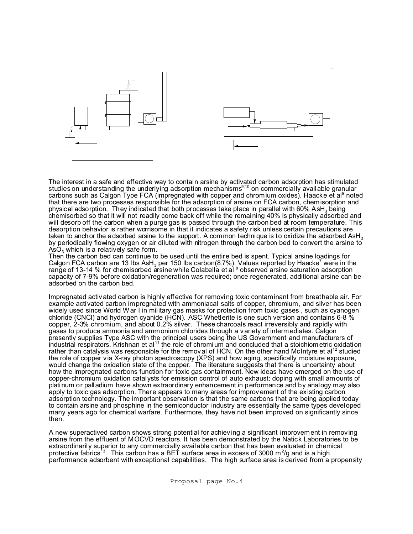

The interest in a safe and effective way to contain arsine by activated carbon adsorption has stimulated studies on understanding the underlying adsorption mechanisms<sup>9,10</sup> on commercially available granular carbons such as Calgon Type FCA (impregnated with copper and chromium oxides). Haacke et al $^{\circ}$  noted that there are two processes responsible for the adsorption of arsine on FCA carbon, chemisorption and physical adsorption. They indicated that both processes take place in parallel with 60% AsH $_{\tiny 3}$  being chemisorbed so that it will not readily come back off while the remaining 40% is physically adsorbed and will desorb off the carbon when a purge gas is passed through the carbon bed at room temperature. This desorption behavior is rather worrisome in that it indicates a safety risk unless certain precautions are taken to anchor the adsorbed arsine to the support. A common technique is to oxidize the adsorbed AsH<sub>3</sub> by periodically flowing oxygen or air diluted with nitrogen through the carbon bed to convert the arsine to AsO $_3$  which is a relatively safe form.

Then the carbon bed can continue to be used until the entire bed is spent. Typical arsine loadings for Calgon FCA carbon are 13 lbs AsH<sub>3</sub> per 150 lbs carbon(8.7%). Values reported by Haacke<sup>7</sup> were in the range of 13-14 % for chemisorbed arsine while Colabella et al <sup>8</sup> observed arsine saturation adsorption capacity of 7-9% before oxidation/regeneration was required; once regenerated, additional arsine can be adsorbed on the carbon bed.

Impregnated activated carbon is highly effective for removing toxic contaminant from breathable air. For example activated carbon impregnated with ammoniacal salts of copper, chromium, and silver has been widely used since World War I in military gas masks for protection from toxic gases , such as cyanogen chloride (CNCl) and hydrogen cyanide (HCN). ASC Whetlerite is one such version and contains 6-8 % copper, 2-3% chromium, and about 0.2% silver. These charcoals react irreversibly and rapidly with gases to produce ammonia and ammonium chlorides through a variety of intermediates. Calgon presently supplies Type ASC with the principal users being the US Government and manufacturers of industrial respirators. Krishnan et al<sup>11</sup> the role of chromium and concluded that a stoichiometric oxidation rather than catalysis was responsible for the removal of HCN. On the other hand McIntyre et al<sup>12</sup> studied the role of copper via X-ray photon spectroscopy (XPS) and how aging, specifically moisture exposure, would change the oxidation state of the copper. The literature suggests that there is uncertainty about how the impregnated carbons function for toxic gas containment. New ideas have emerged on the use of copper-chromium oxidation catalysts for emission control of auto exhaust; doping with small amounts of platinum or palladium have shown extraordinary enhancement in performance and by analogy may also apply to toxic gas adsorption. There appears to many areas for improv ement of the existing carbon adsorption technology. The important observation is that the same carbons that are being applied today to contain arsine and phosphine in the semiconductor industry are essentially the same types developed many years ago for chemical warfare. Furthermore, they have not been improved on significantly since then.

A new superactived carbon shows strong potential for achiev ing a significant improvement in removing arsine from the effluent of MOCVD reactors. It has been demonstrated by the Natick Laboratories to be extraordinarily superior to any commercially available carbon that has been evaluated in chemical protective fabrics<sup>13</sup>. This carbon has a BET surface area in excess of 3000 m<sup>2</sup>/g and is a high performance adsorbent with exceptional capabilities. The high surface area is derived from a propensity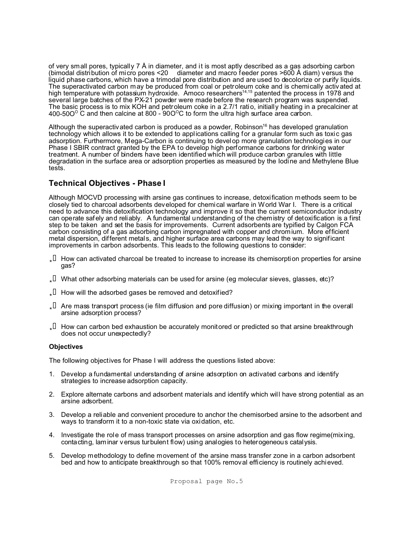of very small pores, typically 7 Å in diameter, and it is most aptly described as a gas adsorbing carbon (bimodal distribution of micro pores  $\leq 20$  diameter and macro feeder pores  $\geq 600$  Å diam) versus the liquid phase carbons, which have a trimodal pore distribution and are used to decolorize or purify liquids. The superactivated carbon may be produced from coal or petroleum coke and is chemically activated at high temperature with potassium hydroxide. Amoco researchers<sup>14,15</sup> patented the process in 1978 and several large batches of the PX-21 powder were made before the research program was suspended. The basic process is to mix KOH and petroleum coke in a 2.7/1 ratio, initially heating in a precalciner at 400-50O $^{\circ}$  C and then calcine at 800 - 90O $^{\circ}$ C to form the ultra high surface area carbon.

Although the superactivated carbon is produced as a powder, Robinson<sup>16</sup> has developed granulation technology which allows it to be extended to applications calling for a granular form such as toxic gas adsorption. Furthermore, Mega-Carbon is continuing to develop more granulation technologies in our Phase I SBIR contract granted by the EPA to develop high performance carbons for drinking water treatment. A number of binders have been identified which will produce carbon granules with little degradation in the surface area or adsorption properties as measured by the Iodine and Methylene Blue tests.

# **Technical Objectives - Phase I**

Although MOCVD processing with arsine gas continues to increase, detoxification methods seem to be closely tied to charcoal adsorbents developed for chemical warfare in World War I. There is a critical need to advance this detoxification technology and improve it so that the current semiconductor industry can operate safely and reliably. A fundamental understanding of the chemistry of detoxification is a first step to be taken and set the basis for improvements. Current adsorbents are typified by Calgon FCA carbon consisting of a gas adsorbing carbon impregnated with copper and chromium. More efficient metal dispersion, different metals, and higher surface area carbons may lead the way to significant improvements in carbon adsorbents. This leads to the following questions to consider:

- $\downarrow$  How can activated charcoal be treated to increase to increase its chemisorption properties for arsine gas?
- $\downarrow$  What other adsorbing materials can be used for arsine (eg molecular sieves, glasses, etc)?
- $\downarrow$  How will the adsorbed gases be removed and detoxified?
- $\downarrow$  Are mass transport process (ie film diffusion and pore diffusion) or mixing important in the overall arsine adsorption process?
- $\downarrow$  How can carbon bed exhaustion be accurately monitored or predicted so that arsine breakthrough does not occur unexpectedly?

## **Objectives**

The following objectives for Phase I will address the questions listed above:

- 1. Develop a fundamental understanding of arsine adsorption on activated carbons and identify strategies to increase adsorption capacity.
- 2. Explore alternate carbons and adsorbent materials and identify which will have strong potential as an arsine adsorbent.
- 3. Develop a reliable and convenient procedure to anchor the chemisorbed arsine to the adsorbent and ways to transform it to a non-toxic state via oxidation, etc.
- 4. Investigate the role of mass transport processes on arsine adsorption and gas flow regime(mixing, contacting, laminar v ersus turbulent flow) using analogies to heterogeneous catalysis.
- 5. Develop methodology to define movement of the arsine mass transfer zone in a carbon adsorbent bed and how to anticipate breakthrough so that 100% removal efficiency is routinely achieved.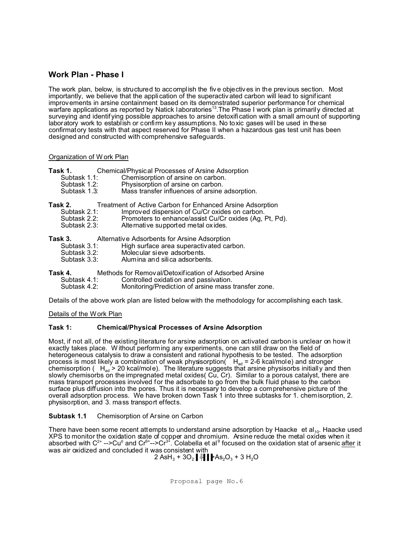## **Work Plan - Phase I**

The work plan, below, is structured to accomplish the fiv e objectiv es in the previous section. Most importantly, we believe that the application of the superactivated carbon will lead to significant improvements in arsine containment based on its demonstrated superior performance for chemical warfare applications as reported by Natick laboratories<sup>13</sup>. The Phase I work plan is primarily directed at surveying and identif ying possible approaches to arsine detoxification with a small amount of supporting laboratory work to establish or confirm key assumptions. No toxic gases will be used in these confirmatory tests with that aspect reserved for Phase II when a hazardous gas test unit has been designed and constructed with comprehensive safeguards.

## Organization of W ork Plan

| Task 1. |              | Chemical/Physical Processes of Arsine Adsorption          |  |
|---------|--------------|-----------------------------------------------------------|--|
|         | Subtask 1.1: | Chemisorption of arsine on carbon.                        |  |
|         | Subtask 1.2: | Physisorption of arsine on carbon.                        |  |
|         | Subtask 1.3: | Mass transfer influences of arsine adsorption.            |  |
| Task 2. |              | Treatment of Active Carbon for Enhanced Arsine Adsorption |  |
|         | Subtask 2.1: | Improved dispersion of Cu/Cr oxides on carbon.            |  |
|         | Subtask 2.2: | Promoters to enhance/assist Cu/Cr oxides (Ag, Pt, Pd).    |  |
|         | Subtask 2.3: | Alternative supported metal oxides.                       |  |
| Task 3. |              | Alternative Adsorbents for Arsine Adsorption              |  |
|         | Subtask 3.1: | High surface area superactivated carbon.                  |  |
|         | Subtask 3.2: | Molecular sieve adsorbents.                               |  |
|         | Subtask 3.3: | Alumina and silica adsorbents.                            |  |
| Task 4. |              | Methods for Removal/Detoxification of Adsorbed Arsine     |  |
|         | Subtask 4.1: | Controlled oxidation and passivation.                     |  |
|         | Subtask 4.2: | Monitoring/Prediction of arsine mass transfer zone.       |  |
|         |              |                                                           |  |
|         |              |                                                           |  |

Details of the above work plan are listed below with the methodology for accomplishing each task.

Details of the Work Plan

## **Task 1: Chemical/Physical Processes of Arsine Adsorption**

Most, if not all, of the existing literature for arsine adsorption on activated carbon is unclear on how it exactly takes place. W ithout performing any experiments, one can still draw on the field of heterogeneous catalysis to draw a consistent and rational hypothesis to be tested. The adsorption process is most likely a combination of weak physisorption(  $H_{ad}$  = 2-6 kcal/mole) and stronger chemisorption (  $H_{\text{ad}}$  > 20 kcal/mole). The literature suggests that arsine physisorbs initially and then slowly chemisorbs on the impregnated metal oxides( Cu, Cr). Similar to a porous catalyst, there are mass transport processes involved for the adsorbate to go from the bulk fluid phase to the carbon surface plus diffusion into the pores. Thus it is necessary to develop a comprehensive picture of the overall adsorption process. We have broken down Task 1 into three subtasks for 1. chemisorption, 2. physisorption, and 3. mass transport effects.

## **Subtask 1.1** Chemisorption of Arsine on Carbon

There have been some recent attempts to understand arsine adsorption by Haacke et al<sub>10</sub>. Haacke used XPS to monitor the oxidation state of copper and chromium. Arsine reduce the metal oxides when it absorbed with C<sup>2+</sup> -->Cu<sup>0</sup> and Cr<sup>6+</sup>-->Cr<sup>3+</sup>. Colabella et al<sup>9</sup> focused on the oxidation stat of arsenic <u>after</u> it was air oxidized and concluded it was consistent with

2 AsH $_3$  + 3O $_2$   $\parallel$   $\parallel$   $\parallel$   $\parallel$  As $_2$ O $_3$  + 3 H $_2$ O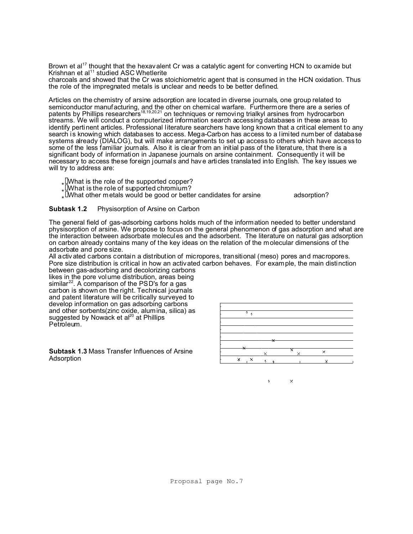Brown et al<sup>17</sup> thought that the hexavalent Cr was a catalytic agent for converting HCN to oxamide but Krishnan et al<sup>11</sup> studied ASC Whetlerite

charcoals and showed that the Cr was stoichiometric agent that is consumed in the HCN oxidation. Thus the role of the impregnated metals is unclear and needs to be better defined.

Articles on the chemistry of arsine adsorption are located in diverse journals, one group related to semiconductor manufacturing, and the other on chemical warfare. Furthermore there are a series of patents by Phillips researchers<sup>18,19,20,21</sup> on techniques or removing trialkyl arsines from hydrocarbon streams. We will conduct a computerized information search accessing databases in these areas to identify pertinent articles. Professional l iterature searchers have long known that a critical element to any search is knowing which databases to access. Mega-Carbon has access to a l imited number of database systems already (DIALOG), but will make arrangements to set up access to others which have access to some of the less familiar journals. Also it is clear from an initial pass of the literature, that there is a significant body of information in Japanese journals on arsine containment. Consequently it will be necessary to access these foreign journals and have articles translated into English. The key issues we will try to address are:

 $_{\star}$  IWhat is the role of the supported copper?

 $\int _{\star}$   $\lll$  What is the role of supported chromium?

%Ï What other metals would be good or better candidates for arsine adsorption?

## **Subtask 1.2** Physisorption of Arsine on Carbon

The general field of gas-adsorbing carbons holds much of the information needed to better understand physisorption of arsine. We propose to focus on the general phenomenon of gas adsorption and what are the interaction between adsorbate molecules and the adsorbent. The literature on natural gas adsorption on carbon already contains many of the key ideas on the relation of the molecular dimensions of the adsorbate and pore size.

All activ ated carbons contain a distribution of micropores, transitional (meso) pores and macropores. Pore size distribution is critical in how an activated carbon behaves. For example, the main distinction between gas-adsorbing and decolorizing carbons

likes in the pore volume distribution, areas being similar<sup>22</sup>. A comparison of the PSD's for a gas carbon is shown on the right. Technical journals and patent literature will be critically surveyed to develop information on gas adsorbing carbons and other sorbents(zinc oxide, alumina, silica) as suggested by Nowack et al<sup>20</sup> at Phillips Petroleum.

**Subtask 1.3** Mass Transfer Influences of Arsine Adsorption



 $\times$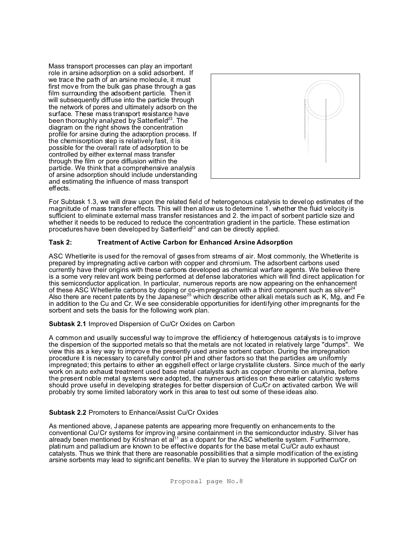Mass transport processes can play an important role in arsine adsorption on a solid adsorbent. If we trace the path of an arsine molecule, it must first move from the bulk gas phase through a gas film surrounding the adsorbent particle. Then it will subsequently diffuse into the particle through the network of pores and ultimately adsorb on the surface. These mass transport resistance have been thoroughly analyzed by Satterfield $^{23}$ . The diagram on the right shows the concentration profile for arsine during the adsorption process. If the chemisorption step is relatively fast, it is possible for the overall rate of adsorption to be controlled by either external mass transfer through the film or pore diffusion within the particle. We think that a comprehensive analysis of arsine adsorption should include understanding and estimating the influence of mass transport effects.



For Subtask 1.3, we will draw upon the related field of heterogenous catalysis to develop estimates of the magnitude of mass transfer effects. This will then allow us to determine 1. whether the fluid velocity is sufficient to eliminate external mass transfer resistances and 2. the impact of sorbent particle size and whether it needs to be reduced to reduce the concentration gradient in the particle. These estimation procedures have been developed by Satterfield<sup>23</sup> and can be directly applied.

## **Task 2: Treatment of Active Carbon for Enhanced Arsine Adsorption**

ASC Whetlerite is used for the removal of gases from streams of air. Most commonly, the Whetlerite is prepared by impregnating active carbon with copper and chromium. The adsorbent carbons used currently have their origins with these carbons developed as chemical warfare agents. We believe there is a some very relev ant work being performed at defense laboratories which will find direct application for this semiconductor application. In particular, numerous reports are now appearing on the enhancement of these ASC Whetlerite carbons by doping or co-impregnation with a third component such as silver $24$ Also there are recent patents by the Japanese<sup>25</sup> which describe other alkali metals such as K, Mg, and Fe in addition to the Cu and Cr. We see considerable opportunities for identifying other impregnants for the sorbent and sets the basis for the following work plan.

## **Subtask 2.1** Improved Dispersion of Cu/Cr Oxides on Carbon

A common and usually successful way to improve the efficiency of heterogenous catalysts is to improve the dispersion of the supported metals so that the metals are not located in relatively large "dumps". We view this as a key way to improv e the presently used arsine sorbent carbon. During the impregnation procedure it is necessary to carefully control pH and other factors so that the particles are uniformly impregnated; this pertains to either an eggshell effect or large crystallite clusters. Since much of the early work on auto exhaust treatment used base metal catalysts such as copper chromite on alumina, before the present noble metal systems were adopted, the numerous articles on these earlier catalytic systems should prove useful in developing strategies for better dispersion of Cu/Cr on activated carbon. We will probably try some limited laboratory work in this area to test out some of these ideas also.

## **Subtask 2.2** Promoters to Enhance/Assist Cu/Cr Oxides

As mentioned above, Japanese patents are appearing more frequently on enhancements to the conventional Cu/Cr systems for improv ing arsine containment in the semiconductor industry. Silver has already been mentioned by Krishnan et al $^{11}$  as a dopant for the ASC whetlerite system. Furthermore, platinum and palladium are known to be effective dopants for the base metal Cu/Cr auto exhaust catalysts. Thus we think that there are reasonable possibilities that a simple modification of the existing arsine sorbents may lead to significant benefits. We plan to survey the literature in supported Cu/Cr on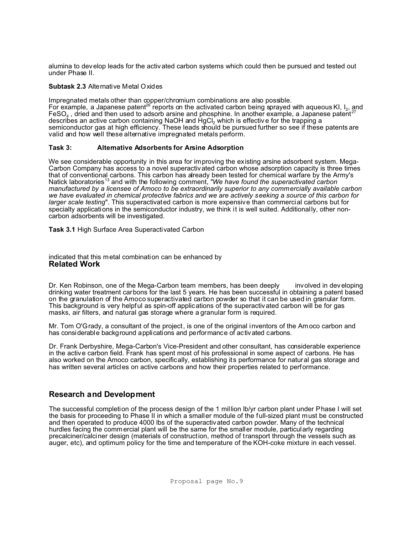alumina to develop leads for the activ ated carbon systems which could then be pursued and tested out under Phase II.

## **Subtask 2.3** Alternative Metal Oxides

Impregnated metals other than copper/chromium combinations are also possible. For example, a Japanese patent<sup>26</sup> reports on the activated carbon being sprayed with aqueous KI, I<sub>2</sub>, and FeSO<sub>4</sub>, dried and then used to adsorb arsine and phosphine. In another example, a Japanese patent<sup>27</sup> describes an active carbon containing NaOH and  $HgCl<sub>2</sub>$  which is effective for the trapping a semiconductor gas at high efficiency. These leads should be pursued further so see if these patents are valid and how well these alternative impregnated metals perform.

## **Task 3: Alternative Adsorbents for Arsine Adsorption**

We see considerable opportunity in this area for improving the existing arsine adsorbent system. Mega-Carbon Company has access to a novel superactivated carbon whose adsorption capacity is three times that of conventional carbons. This carbon has already been tested for chemical warfare by the Army's Natick laboratories<sup>13</sup> and with the following comment, "We have found the superactivated carbon *manufactured by a licensee of Amoco to be extraordinarily superior to any commercially available carbon we have evaluated in chemical protective fabrics and we are actively seeking a source of this carbon for larger scale testing*". This superactivated carbon is more expensive than commercial carbons but for specialty applications in the semiconductor industry, we think it is well suited. Additionally, other noncarbon adsorbents will be investigated.

**Task 3.1** High Surface Area Superactivated Carbon

### indicated that this metal combination can be enhanced by **Related Work**

Dr. Ken Robinson, one of the Mega-Carbon team members, has been deeply involved in developing drinking water treatment carbons for the last 5 years. He has been successful in obtaining a patent based on the granulation of the Amoco superactivated carbon powder so that it can be used in granular form. This background is very helpful as spin-off applications of the superactivated carbon will be for gas masks, air filters, and natural gas storage where a granular form is required.

Mr. Tom O'Grady, a consultant of the project, is one of the original inventors of the Amoco carbon and has considerable background applications and performance of activated carbons.

Dr. Frank Derbyshire, Mega-Carbon's Vice-President and other consultant, has considerable experience in the active carbon field. Frank has spent most of his professional in some aspect of carbons. He has also worked on the Amoco carbon, specifically, establishing its performance for natural gas storage and has written several articles on active carbons and how their properties related to performance.

# **Research and Development**

The successful completion of the process design of the 1 million lb/yr carbon plant under Phase I will set the basis for proceeding to Phase II in which a smaller module of the full-sized plant must be constructed and then operated to produce 4000 lbs of the superactivated carbon powder. Many of the technical hurdles facing the commercial plant will be the same for the smaller module, particularly regarding precalciner/calciner design (materials of construction, method of transport through the vessels such as auger, etc), and optimum policy for the time and temperature of the KOH-coke mixture in each vessel.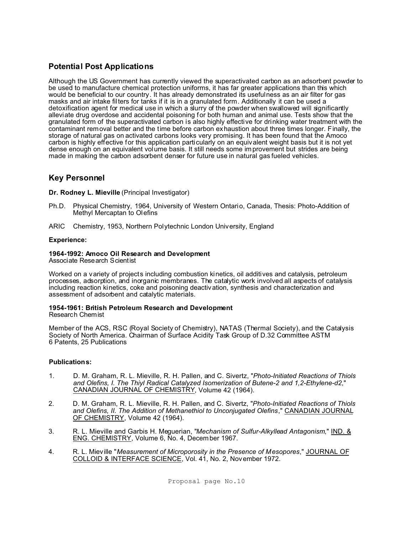# **Potential Post Applications**

Although the US Government has currently viewed the superactivated carbon as an adsorbent powder to be used to manufacture chemical protection uniforms, it has far greater applications than this which would be beneficial to our country. It has already demonstrated its usefulness as an air filter for gas masks and air intake filters for tanks if it is in a granulated form. Additionally it can be used a detoxification agent for medical use in which a slurry of the powder when swallowed will significantly alleviate drug overdose and accidental poisoning for both human and animal use. Tests show that the granulated form of the superactivated carbon is also highly effective for drinking water treatment with the contaminant removal better and the time before carbon exhaustion about three times longer. Finally, the storage of natural gas on activated carbons looks very promising. It has been found that the Amoco carbon is highly effective for this application particularly on an equivalent weight basis but it is not yet dense enough on an equivalent volume basis. It still needs some improvement but strides are being made in making the carbon adsorbent denser for future use in natural gas fueled vehicles.

# **Key Personnel**

**Dr. Rodney L. Mieville** (Principal Investigator)

- Ph.D. Physical Chemistry, 1964, University of Western Ontario, Canada, Thesis: Photo-Addition of Methyl Mercaptan to Olefins
- ARIC Chemistry, 1953, Northern Polytechnic London University, England

## **Experience:**

## **1964-1992: Amoco Oil Research and Development**

Associate Research Scientist

Worked on a variety of projects including combustion kinetics, oil additives and catalysis, petroleum processes, adsorption, and inorganic membranes. The catalytic work involved all aspects of catalysis including reaction kinetics, coke and poisoning deactivation, synthesis and characterization and assessment of adsorbent and catalytic materials.

#### **1954-1961: British Petroleum Research and Development** Research Chemist

Member of the ACS, RSC (Royal Society of Chemistry), NATAS (Thermal Society), and the Catalysis Society of North America. Chairman of Surface Acidity Task Group of D.32 Committee ASTM

## **Publications:**

6 Patents, 25 Publications

- 1. D. M. Graham, R. L. Mieville, R. H. Pallen, and C. Sivertz, "*Photo-Initiated Reactions of Thiols and Olefins, I. The Thiyl Radical Catalyzed Isomerization of Butene-2 and 1,2-Ethylene-d2*," CANADIAN JOURNAL OF CHEMISTRY, Volume 42 (1964).
- 2. D. M. Graham, R. L. Mieville, R. H. Pallen, and C. Sivertz, "*Photo-Initiated Reactions of Thiols and Olefins, II. The Addition of Methanethiol to Unconjugated Olefins*," CANADIAN JOURNAL OF CHEMISTRY, Volume 42 (1964).
- 3. R. L. Mieville and Garbis H. Meguerian, "*Mechanism of Sulfur-Alkyllead Antagonism*," IND. & ENG. CHEMISTRY, Volume 6, No. 4, December 1967.
- 4. R. L. Mieville "*Measurement of Microporosity in the Presence of Mesopores*," JOURNAL OF COLLOID & INTERFACE SCIENCE, Vol. 41, No. 2, November 1972.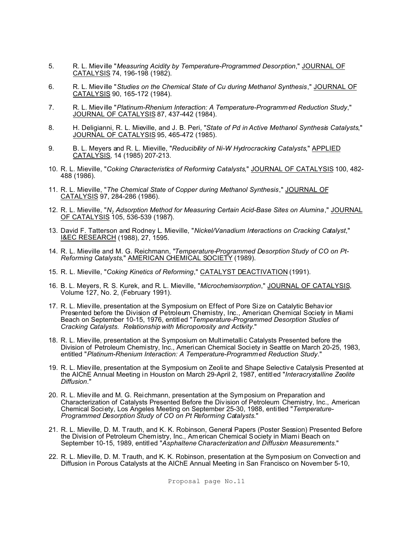- 5. R. L. Mieville "*Measuring Acidity by Temperature-Programmed Desorption*," JOURNAL OF CATALYSIS 74, 196-198 (1982).
- 6. R. L. Mieville "*Studies on the Chemical State of Cu during Methanol Synthesis*," JOURNAL OF CATALYSIS 90, 165-172 (1984).
- 7. R. L. Mieville "*Platinum-Rhenium Interaction: A Temperature-Programmed Reduction Study*," JOURNAL OF CATALYSIS 87, 437-442 (1984).
- 8. H. Deligianni, R. L. Mieville, and J. B. Peri, "*State of Pd in Active Methanol Synthesis Catalysts*," JOURNAL OF CATALYSIS 95, 465-472 (1985).
- 9. B. L. Meyers and R. L. Mieville, "*Reducibility of Ni-W Hydrocracking Catalysts*," APPLIED CATALYSIS, 14 (1985) 207-213.
- 10. R. L. Mieville, "*Coking Characteristics of Reforming Catalysts*," JOURNAL OF CATALYSIS 100, 482- 488 (1986).
- 11. R. L. Mieville, "*The Chemical State of Copper during Methanol Synthesis*," JOURNAL OF CATALYSIS 97, 284-286 (1986).
- 12. R. L. Mieville, "*N<sup>2</sup> Adsorption Method for Measuring Certain Acid-Base Sites on Alumina*," JOURNAL OF CATALYSIS 105, 536-539 (1987).
- 13. David F. Tatterson and Rodney L. Mieville, "*Nickel/Vanadium Interactions on Cracking Catalyst*," I&EC RESEARCH (1988), 27, 1595.
- 14. R. L. Mieville and M. G. Reichmann, "*Temperature-Programmed Desorption Study of CO on Pt-Reforming Catalysts*," AMERICAN CHEMICAL SOCIETY (1989).
- 15. R. L. Mieville, "*Coking Kinetics of Reforming*," CATALYST DEACTIVATION (1991).
- 16. B. L. Meyers, R. S. Kurek, and R. L. Mieville, "*Microchemisorrption*," JOURNAL OF CATALYSIS, Volume 127, No. 2, (February 1991).
- 17. R. L. Mieville, presentation at the Symposium on Effect of Pore Size on Catalytic Behavior Presented before the Division of Petroleum Chemistry, Inc., American Chemical Society in Miami Beach on September 10-15, 1976, entitled "*Temperature-Programmed Desorption Studies of Cracking Catalysts. Relationship with Microporosity and Activity*."
- 18. R. L. Mieville, presentation at the Symposium on Multimetallic Catalysts Presented before the Division of Petroleum Chemistry, Inc., American Chemical Society in Seattle on March 20-25, 1983, entitled "*Platinum-Rhenium Interaction: A Temperature-Programmed Reduction Study*."
- 19. R. L. Mieville, presentation at the Symposium on Zeolite and Shape Selective Catalysis Presented at the AIChE Annual Meeting in Houston on March 29-April 2, 1987, entitled "*Interacrystalline Zeolite Diffusion*."
- 20. R. L. Mieville and M. G. Reichmann, presentation at the Symposium on Preparation and Characterization of Catalysts Presented Before the Division of Petroleum Chemistry, Inc., American Chemical Society, Los Angeles Meeting on September 25-30, 1988, entitled "*Temperature-Programmed Desorption Study of CO on Pt Reforming Catalysts*."
- 21. R. L. Mieville, D. M. Trauth, and K. K. Robinson, General Papers (Poster Session) Presented Before the Division of Petroleum Chemistry, Inc., American Chemical Society in Miami Beach on September 10-15, 1989, entitled "*Asphaltene Characterization and Diffusion Measurements*."
- 22. R. L. Mieville, D. M. Trauth, and K. K. Robinson, presentation at the Symposium on Convection and Diffusion in Porous Catalysts at the AIChE Annual Meeting in San Francisco on November 5-10,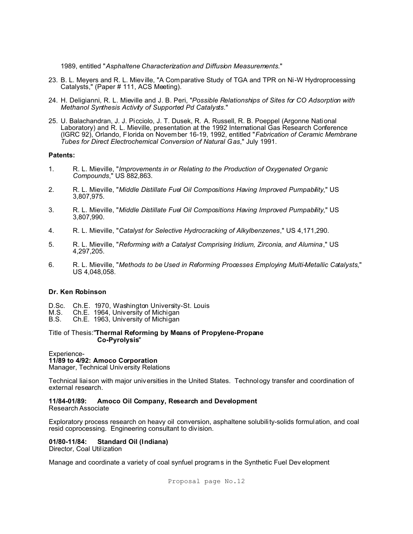1989, entitled "*Asphaltene Characterization and Diffusion Measurements*."

- 23. B. L. Meyers and R. L. Mieville, "A Comparative Study of TGA and TPR on Ni-W Hydroprocessing Catalysts," (Paper # 111, ACS Meeting).
- 24. H. Deligianni, R. L. Mieville and J. B. Peri, "*Possible Relationships of Sites for CO Adsorption with Methanol Synthesis Activity of Supported Pd Catalysts*."
- 25. U. Balachandran, J. J. Picciolo, J. T. Dusek, R. A. Russell, R. B. Poeppel (Argonne National Laboratory) and R. L. Mieville, presentation at the 1992 International Gas Research Conference (IGRC 92), Orlando, Florida on November 16-19, 1992, entitled "*Fabrication of Ceramic Membrane Tubes for Direct Electrochemical Conversion of Natural Gas*," July 1991.

### **Patents:**

- 1. R. L. Mieville, "*Improvements in or Relating to the Production of Oxygenated Organic Compounds*," US 882,863.
- 2. R. L. Mieville, "*Middle Distillate Fuel Oil Compositions Having Improved Pumpability*," US 3,807,975.
- 3. R. L. Mieville, "*Middle Distillate Fuel Oil Compositions Having Improved Pumpability*," US 3,807,990.
- 4. R. L. Mieville, "*Catalyst for Selective Hydrocracking of Alkylbenzenes*," US 4,171,290.
- 5. R. L. Mieville, "*Reforming with a Catalyst Comprising Iridium, Zirconia, and Alumina*," US 4,297,205.
- 6. R. L. Mieville, "*Methods to be Used in Reforming Processes Employing Multi-Metallic Catalysts*," US 4,048,058.

## **Dr. Ken Robinson**

- D.Sc. Ch.E. 1970, Washington University-St. Louis
- M.S. Ch.E. 1964, University of Michigan
- Ch.E. 1963, University of Michigan

### Title of Thesis:"**Thermal Reforming by Means of Propylene-Propane Co-Pyrolysis**"

### Experience-

## **11/89 to 4/92: Amoco Corporation**

Manager, Technical Univ ersity Relations

Technical liaison with major universities in the United States. Technology transfer and coordination of external research.

## **11/84-01/89: Amoco Oil Company, Research and Development**

Research Associate

Exploratory process research on heavy oil conversion, asphaltene solubility-solids formulation, and coal resid coprocessing. Engineering consultant to div ision.

## **01/80-11/84: Standard Oil (Indiana)**

Director, Coal Util ization

Manage and coordinate a variety of coal synfuel programs in the Synthetic Fuel Dev elopment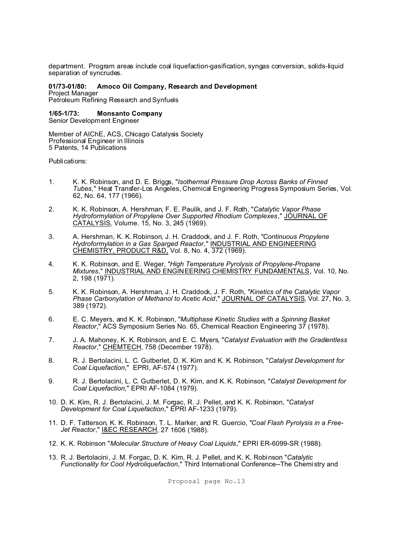department. Program areas include coal liquefaction-gasification, syngas conversion, solids-liquid separation of syncrudes.

#### **01/73-01/80: Amoco Oil Company, Research and Development** Project Manager

Petroleum Refining Research and Synfuels

## **1/65-1/73: Monsanto Company**

Senior Development Engineer

Member of AIChE, ACS, Chicago Catalysis Society Professional Engineer in Illinois 5 Patents, 14 Publications

Publications:

- 1. K. K. Robinson, and D. E. Briggs, "*Isothermal Pressure Drop Across Banks of Finned Tubes*," Heat Transfer-Los Angeles, Chemical Engineering Progress Symposium Series, Vol. 62, No. 64, 177 (1966).
- 2. K. K. Robinson, A. Hershman, F. E. Paulik, and J. F. Roth, "*Catalytic Vapor Phase Hydroformylation of Propylene Over Supported Rhodium Complexes*," JOURNAL OF CATALYSIS, Volume. 15, No. 3, 245 (1969).
- 3. A. Hershman, K. K. Robinson, J. H. Craddock, and J. F. Roth, "*Continuous Propylene Hydroformylation in a Gas Sparged Reactor*," INDUSTRIAL AND ENGINEERING CHEMISTRY, PRODUCT R&D, Vol. 8, No. 4, 372 (1969).
- 4. K. K. Robinson, and E. Weger, "*High Temperature Pyrolysis of Propylene-Propane Mixtures*," INDUSTRIAL AND ENGINEERING CHEMISTRY FUNDAMENTALS, Vol. 10, No. 2, 198 (1971).
- 5. K. K. Robinson, A. Hershman, J. H. Craddock, J. F. Roth, "*Kinetics of the Catalytic Vapor Phase Carbonylation of Methanol to Acetic Acid*," JOURNAL OF CATALYSIS, Vol. 27, No. 3, 389 (1972).
- 6. E. C. Meyers, and K. K. Robinson, "*Multiphase Kinetic Studies with a Spinning Basket Reactor*," ACS Symposium Series No. 65, Chemical Reaction Engineering 37 (1978).
- 7. J. A. Mahoney, K. K. Robinson, and E. C. Myers, "*Catalyst Evaluation with the Gradientless Reactor*," CHEMTECH, 758 (December 1978).
- 8. R. J. Bertolacini, L. C. Gutberlet, D. K. Kim and K. K. Robinson, "*Catalyst Development for Coal Liquefaction*," EPRI, AF-574 (1977).
- 9. R. J. Bertolacini, L. C. Gutberlet, D. K. Kim, and K. K. Robinson, "*Catalyst Development for Coal Liquefaction*," EPRI AF-1084 (1979).
- 10. D. K. Kim, R. J. Bertolacini, J. M. Forgac, R. J. Pellet, and K. K. Robinson, "*Catalyst Development for Coal Liquefaction*," EPRI AF-1233 (1979).
- 11. D. F. Tatterson, K. K. Robinson, T. L. Marker, and R. Guercio, "*Coal Flash Pyrolysis in a Free-Jet Reactor*," I&EC RESEARCH, 27 1606 (1988).
- 12. K. K. Robinson "*Molecular Structure of Heavy Coal Liquids*," EPRI ER-6099-SR (1988).
- 13. R. J. Bertolacini, J. M. Forgac, D. K. Kim, R. J. Pellet, and K. K. Robinson "*Catalytic Functionality for Cool Hydroliquefaction*," Third International Conference--The Chemistry and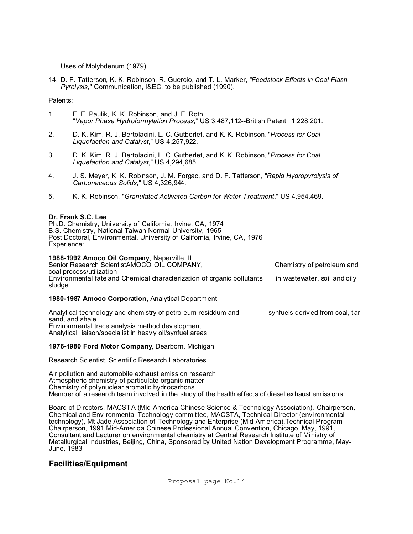Uses of Molybdenum (1979).

14. D. F. Tatterson, K. K. Robinson, R. Guercio, and T. L. Marker, "*Feedstock Effects in Coal Flash Pyrolysis*," Communication, I&EC, to be published (1990).

Patents:

- 1. F. E. Paulik, K. K. Robinson, and J. F. Roth. "*Vapor Phase Hydroformylation Process*," US 3,487,112--British Patent 1,228,201.
- 2. D. K. Kim, R. J. Bertolacini, L. C. Gutberlet, and K. K. Robinson, "*Process for Coal Liquefaction and Catalyst*," US 4,257,922.
- 3. D. K. Kim, R. J. Bertolacini, L. C. Gutberlet, and K. K. Robinson, "*Process for Coal Liquefaction and Catalyst*," US 4,294,685.
- 4. J. S. Meyer, K. K. Robinson, J. M. Forgac, and D. F. Tatterson, "*Rapid Hydropyrolysis of Carbonaceous Solids*," US 4,326,944.
- 5. K. K. Robinson, "*Granulated Activated Carbon for Water Treatment*," US 4,954,469.

## **Dr. Frank S.C. Lee**

Ph.D. Chemistry, University of California, Irvine, CA, 1974 B.S. Chemistry, National Taiwan Normal University, 1965 Post Doctoral, Environmental, University of California, Irvine, CA, 1976 Experience:

## **1988-1992 Amoco Oil Company**, Naperville, IL

Senior Research ScientistAMOCO OIL COMPANY, Chemistry of petroleum and coal process/utilization Environmental fate and Chemical characterization of organic pollutants in wastewater, soil and oily sludge.

## **1980-1987 Amoco Corporation,** Analytical Department

Analytical technology and chemistry of petroleum residdum and synfuels derived from coal, tar sand, and shale. Environmental trace analysis method development Analytical liaison/specialist in heavy oil/synfuel areas

## **1976-1980 Ford Motor Company**, Dearborn, Michigan

Research Scientist, Scientific Research Laboratories

Air pollution and automobile exhaust emission research Atmospheric chemistry of particulate organic matter Chemistry of polynuclear aromatic hydrocarbons Member of a research team involved in the study of the health effects of diesel exhaust emissions.

Board of Directors, MACSTA (Mid-America Chinese Science & Technology Association), Chairperson, Chemical and Env ironmental Technology committee, MACSTA, Technical Director (environmental technology), Mt Jade Association of Technology and Enterprise (Mid-America),Technical Program Chairperson, 1991 Mid-America Chinese Professional Annual Convention, Chicago, May, 1991, Consultant and Lecturer on environmental chemistry at Central Research Institute of Ministry of Metallurgical Industries, Beijing, China, Sponsored by United Nation Development Programme, May-June, 1983

## **Facilities/Equipment**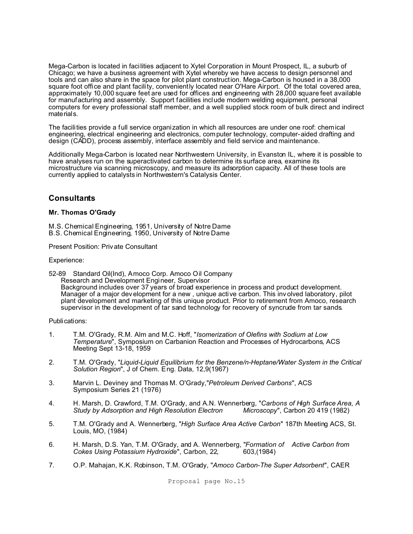Mega-Carbon is located in facilities adjacent to Xytel Corporation in Mount Prospect, IL, a suburb of Chicago; we have a business agreement with Xytel whereby we have access to design personnel and tools and can also share in the space for pilot plant construction. Mega-Carbon is housed in a 38,000 square foot office and plant facility, conveniently located near O'Hare Airport. Of the total covered area, approximately 10,000 square feet are used for offices and engineering with 28,000 square feet available for manufacturing and assembly. Support facilities include modern welding equipment, personal computers for every professional staff member, and a well supplied stock room of bulk direct and indirect materials.

The facilities provide a full service organization in which all resources are under one roof: chemical engineering, electrical engineering and electronics, computer technology, computer-aided drafting and design (CADD), process assembly, interface assembly and field service and maintenance.

Additionally Mega-Carbon is located near Northwestern University, in Evanston IL, where it is possible to have analyses run on the superactivated carbon to determine its surface area, examine its microstructure via scanning microscopy, and measure its adsorption capacity. All of these tools are currently applied to catalysts in Northwestern's Catalysis Center.

## **Consultants**

## **Mr. Thomas O'Grady**

M.S. Chemical Engineering, 1951, University of Notre Dame B.S. Chemical Engineering, 1950, University of Notre Dame

Present Position: Private Consultant

Experience:

52-89 Standard Oil(Ind), Amoco Corp. Amoco Oil Company Research and Development Engineer, Supervisor Background includes over 37 years of broad experience in process and product development. Manager of a major development for a new , unique active carbon. This inv olved laboratory, pilot plant development and marketing of this unique product. Prior to retirement from Amoco, research supervisor in the development of tar sand technology for recovery of syncrude from tar sands.

Publications:

- 1. T.M. O'Grady, R.M. Alm and M.C. Hoff, "*Isomerization of Olefins with Sodium at Low Temperature*", Symposium on Carbanion Reaction and Processes of Hydrocarbons, ACS Meeting Sept 13-18, 1959
- 2. T.M. O'Grady, "*Liquid-Liquid Equilibrium for the Benzene/n-Heptane/Water System in the Critical Solution Region*", J of Chem. Eng. Data, 12,9(1967)
- 3. Marvin L. Deviney and Thomas M. O'Grady,"*Petroleum Derived Carbons*", ACS Symposium Series 21 (1976)
- 4. H. Marsh, D. Crawford, T.M. O'Grady, and A.N. Wennerberg, "*Carbons of High Surface Area, A* **Study by Adsorption and High Resolution Electron**
- 5. T.M. O'Grady and A. Wennerberg, "*High Surface Area Active Carbon*" 187th Meeting ACS, St. Louis, MO, (1984)
- 6. H. Marsh, D.S. Yan, T.M. O'Grady, and A. Wennerberg, "*Formation of Active Carbon from Cokes Using Potassium Hydroxide*", Carbon, 22, 603,(1984)
- 7. O.P. Mahajan, K.K. Robinson, T.M. O'Grady, "*Amoco Carbon-The Super Adsorbent*", CAER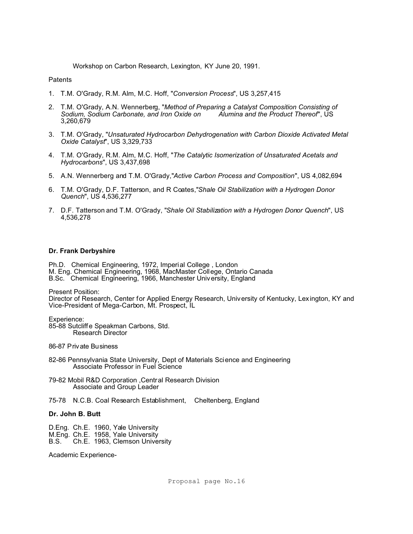Workshop on Carbon Research, Lexington, KY June 20, 1991.

**Patents** 

- 1. T.M. O'Grady, R.M. Alm, M.C. Hoff, "*Conversion Process*", US 3,257,415
- 2. T.M. O'Grady, A.N. Wennerberg, "*Method of Preparing a Catalyst Composition Consisting of Sodium, Sodium Carbonate, and Iron Oxide on* 3,260,679
- 3. T.M. O'Grady, "*Unsaturated Hydrocarbon Dehydrogenation with Carbon Dioxide Activated Metal Oxide Catalyst*", US 3,329,733
- 4. T.M. O'Grady, R.M. Alm, M.C. Hoff, "*The Catalytic Isomerization of Unsaturated Acetals and Hydrocarbons*", US 3,437,698
- 5. A.N. Wennerberg and T.M. O'Grady,"*Active Carbon Process and Composition*", US 4,082,694
- 6. T.M. O'Grady, D.F. Tatterson, and R Coates,"*Shale Oil Stabilization with a Hydrogen Donor Quench*", US 4,536,277
- 7. D.F. Tatterson and T.M. O'Grady, "*Shale Oil Stabilization with a Hydrogen Donor Quench*", US 4,536,278

### **Dr. Frank Derbyshire**

Ph.D. Chemical Engineering, 1972, Imperial College , London M. Eng. Chemical Engineering, 1968, MacMaster College, Ontario Canada B.Sc. Chemical Engineering, 1966, Manchester University, England

Present Position:

Director of Research, Center for Applied Energy Research, University of Kentucky, Lexington, KY and Vice-President of Mega-Carbon, Mt. Prospect, IL

Experience: 85-88 Sutcliffe Speakman Carbons, Std. Research Director

86-87 Private Business

- 82-86 Pennsylvania State University, Dept of Materials Science and Engineering Associate Professor in Fuel Science
- 79-82 Mobil R&D Corporation ,Central Research Division Associate and Group Leader
- 75-78 N.C.B. Coal Research Establishment, Cheltenberg, England

## **Dr. John B. Butt**

- D.Eng. Ch.E. 1960, Yale University
- M.Eng. Ch.E. 1958, Yale University
- B.S. Ch.E. 1963, Clemson University

Academic Experience-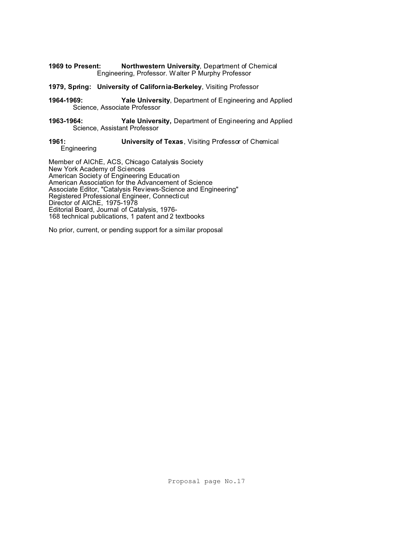- **1969 to Present: Northwestern University**, Department of Chemical Engineering, Professor. Walter P Murphy Professor
- **1979, Spring: University of California-Berkeley**, Visiting Professor
- **1964-1969: Yale University**, Department of Engineering and Applied Science, Associate Professor
- **1963-1964: Yale University,** Department of Engineering and Applied Science, Assistant Professor

#### **1961: University of Texas**, Visiting Professor of Chemical Engineering

Member of AIChE, ACS, Chicago Catalysis Society New York Academy of Sciences American Society of Engineering Education

American Association for the Advancement of Science Associate Editor, "Catalysis Rev iews-Science and Engineering" Registered Professional Engineer, Connecticut Director of AIChE, 1975-1978 Editorial Board, Journal of Catalysis, 1976- 168 technical publications, 1 patent and 2 textbooks

No prior, current, or pending support for a similar proposal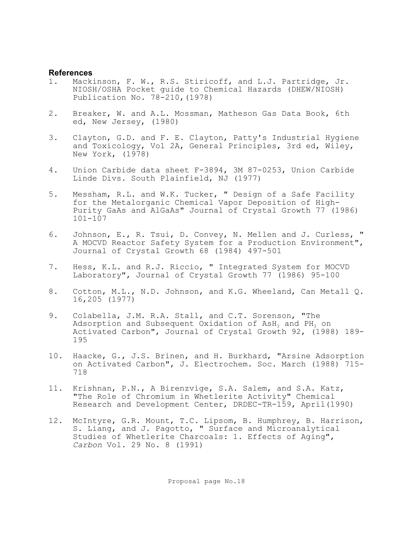## **References**

- 1. Mackinson, F. W., R.S. Stiricoff, and L.J. Partridge, Jr. NIOSH/OSHA Pocket guide to Chemical Hazards (DHEW/NIOSH) Publication No. 78-210,(1978)
- 2. Breaker, W. and A.L. Mossman, Matheson Gas Data Book, 6th ed, New Jersey, (1980)
- 3. Clayton, G.D. and F. E. Clayton, Patty's Industrial Hygiene and Toxicology, Vol 2A, General Principles, 3rd ed, Wiley, New York, (1978)
- 4. Union Carbide data sheet F-3894, 3M 87-0253, Union Carbide Linde Divs. South Plainfield, NJ (1977)
- 5. Messham, R.L. and W.K. Tucker, " Design of a Safe Facility for the Metalorganic Chemical Vapor Deposition of High-Purity GaAs and AlGaAs" Journal of Crystal Growth 77 (1986) 101-107
- 6. Johnson, E., R. Tsui, D. Convey, N. Mellen and J. Curless, " A MOCVD Reactor Safety System for a Production Environment", Journal of Crystal Growth 68 (1984) 497-501
- 7. Hess, K.L. and R.J. Riccio, " Integrated System for MOCVD Laboratory", Journal of Crystal Growth 77 (1986) 95-100
- 8. Cotton, M.L., N.D. Johnson, and K.G. Wheeland, Can Metall Q. 16,205 (1977)
- 9. Colabella, J.M. R.A. Stall, and C.T. Sorenson, "The Adsorption and Subsequent Oxidation of  $AsH<sub>3</sub>$  and  $PH<sub>3</sub>$  on Activated Carbon", Journal of Crystal Growth 92, (1988) 189- 195
- 10. Haacke, G., J.S. Brinen, and H. Burkhard, "Arsine Adsorption on Activated Carbon", J. Electrochem. Soc. March (1988) 715- 718
- 11. Krishnan, P.N., A Birenzvige, S.A. Salem, and S.A. Katz, "The Role of Chromium in Whetlerite Activity" Chemical Research and Development Center, DRDEC-TR-159, April(1990)
- 12. McIntyre, G.R. Mount, T.C. Lipsom, B. Humphrey, B. Harrison, S. Liang, and J. Pagotto, " Surface and Microanalytical Studies of Whetlerite Charcoals: 1. Effects of Aging", *Carbon* Vol. 29 No. 8 (1991)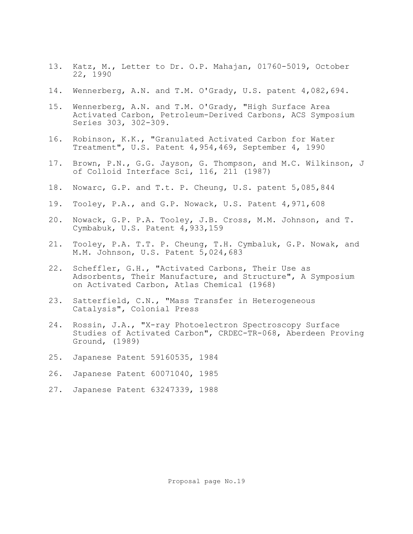- 13. Katz, M., Letter to Dr. O.P. Mahajan, 01760-5019, October 22, 1990
- 14. Wennerberg, A.N. and T.M. O'Grady, U.S. patent 4,082,694.
- 15. Wennerberg, A.N. and T.M. O'Grady, "High Surface Area Activated Carbon, Petroleum-Derived Carbons, ACS Symposium Series 303, 302-309.
- 16. Robinson, K.K., "Granulated Activated Carbon for Water Treatment", U.S. Patent 4,954,469, September 4, 1990
- 17. Brown, P.N., G.G. Jayson, G. Thompson, and M.C. Wilkinson, J of Colloid Interface Sci, 116, 211 (1987)
- 18. Nowarc, G.P. and T.t. P. Cheung, U.S. patent 5,085,844
- 19. Tooley, P.A., and G.P. Nowack, U.S. Patent 4,971,608
- 20. Nowack, G.P. P.A. Tooley, J.B. Cross, M.M. Johnson, and T. Cymbabuk, U.S. Patent 4,933,159
- 21. Tooley, P.A. T.T. P. Cheung, T.H. Cymbaluk, G.P. Nowak, and M.M. Johnson, U.S. Patent 5,024,683
- 22. Scheffler, G.H., "Activated Carbons, Their Use as Adsorbents, Their Manufacture, and Structure", A Symposium on Activated Carbon, Atlas Chemical (1968)
- 23. Satterfield, C.N., "Mass Transfer in Heterogeneous Catalysis", Colonial Press
- 24. Rossin, J.A., "X-ray Photoelectron Spectroscopy Surface Studies of Activated Carbon", CRDEC-TR-068, Aberdeen Proving Ground, (1989)
- 25. Japanese Patent 59160535, 1984
- 26. Japanese Patent 60071040, 1985
- 27. Japanese Patent 63247339, 1988